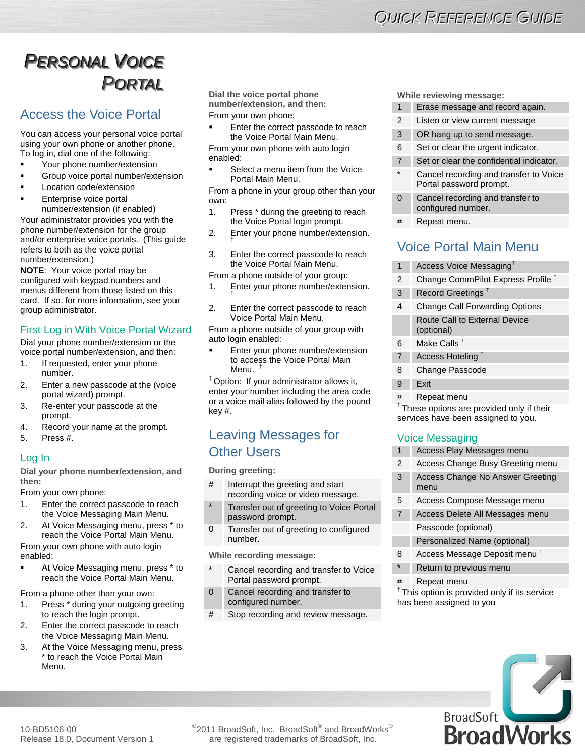# **PERSONAL VOICE** *PPOORRTTAALL*

# Access the Voice Portal

You can access your personal voice portal using your own phone or another phone. To log in, dial one of the following:

- Your phone number/extension
- Group voice portal number/extension
- Location code/extension
- Enterprise voice portal number/extension (if enabled)

Your administrator provides you with the phone number/extension for the group and/or enterprise voice portals. (This guide refers to both as the voice portal number/extension.)

**NOTE**: Your voice portal may be configured with keypad numbers and menus different from those listed on this card. If so, for more information, see your group administrator.

## First Log in With Voice Portal Wizard

Dial your phone number/extension or the voice portal number/extension, and then:

- 1. If requested, enter your phone number.
- 2. Enter a new passcode at the (voice portal wizard) prompt.
- 3. Re-enter your passcode at the prompt.
- 4. Record your name at the prompt.
- 5. Press #.

### Log In

**Dial your phone number/extension, and then:**

From your own phone:

- 1. Enter the correct passcode to reach the Voice Messaging Main Menu.
- 2. At Voice Messaging menu, press \* to reach the Voice Portal Main Menu.

From your own phone with auto login enabled:

 At Voice Messaging menu, press \* to reach the Voice Portal Main Menu.

From a phone other than your own:

- 1. Press \* during your outgoing greeting to reach the login prompt.
- 2. Enter the correct passcode to reach the Voice Messaging Main Menu.
- 3. At the Voice Messaging menu, press \* to reach the Voice Portal Main Menu.

**Dial the voice portal phone number/extension, and then:**

From your own phone:

 Enter the correct passcode to reach the Voice Portal Main Menu.

From your own phone with auto login enabled:

 Select a menu item from the Voice Portal Main Menu.

From a phone in your group other than your own:

- 1. Press \* during the greeting to reach the Voice Portal login prompt.
- 2. Enter your phone number/extension.
- 3. Enter the correct passcode to reach the Voice Portal Main Menu.

From a phone outside of your group:

- 1. Enter your phone number/extension.
- 2. Enter the correct passcode to reach Voice Portal Main Menu.

From a phone outside of your group with auto login enabled:

 Enter your phone number/extension to access the Voice Portal Main Menu.<sup>1</sup>

† Option: If your administrator allows it, enter your number including the area code or a voice mail alias followed by the pound key #.

# Leaving Messages for Other Users

**During greeting:**

- # Interrupt the greeting and start recording voice or video message.
- Transfer out of greeting to Voice Portal password prompt.
- 0 Transfer out of greeting to configured number.

**While recording message:**

- Cancel recording and transfer to Voice Portal password prompt.
- 0 Cancel recording and transfer to configured number.
- # Stop recording and review message.

**While reviewing message:**

|                | Erase message and record again.                                   |
|----------------|-------------------------------------------------------------------|
| $\mathfrak{p}$ | Listen or view current message                                    |
| 3              | OR hang up to send message.                                       |
| 6              | Set or clear the urgent indicator.                                |
| $\overline{7}$ | Set or clear the confidential indicator.                          |
| $\star$        | Cancel recording and transfer to Voice<br>Portal password prompt. |
| $\Omega$       | Cancel recording and transfer to<br>configured number.            |
| $\cdots$       |                                                                   |

Repeat menu.

# Voice Portal Main Menu

| 1              | Access Voice Messaging <sup>t</sup>           |
|----------------|-----------------------------------------------|
| 2              | Change CommPilot Express Profile <sup>T</sup> |
| 3              | Record Greetings <sup>t</sup>                 |
| 4              | Change Call Forwarding Options <sup>T</sup>   |
|                | Route Call to External Device<br>(optional)   |
| 6              | Make Calls $^\intercal$                       |
| $\overline{7}$ | Access Hoteling <sup>T</sup>                  |
| 8              | Change Passcode                               |
| 9              | Exit                                          |
| #              | Repeat menu                                   |

† These options are provided only if their services have been assigned to you.

# Voice Messaging

- Access Play Messages menu 2 Access Change Busy Greeting menu 3 Access Change No Answer Greeting
- menu
- 5 Access Compose Message menu
- 7 Access Delete All Messages menu Passcode (optional)
	- Personalized Name (optional)
- 8 Access Message Deposit menu<sup>T</sup>
- Return to previous menu
- # Repeat menu

<sup>†</sup> This option is provided only if its service has been assigned to you



 $^{\circ}$ 2011 BroadSoft, Inc. BroadSoft $^{\circ}$  and BroadWorks $^{\circ}$ are registered trademarks of BroadSoft, Inc.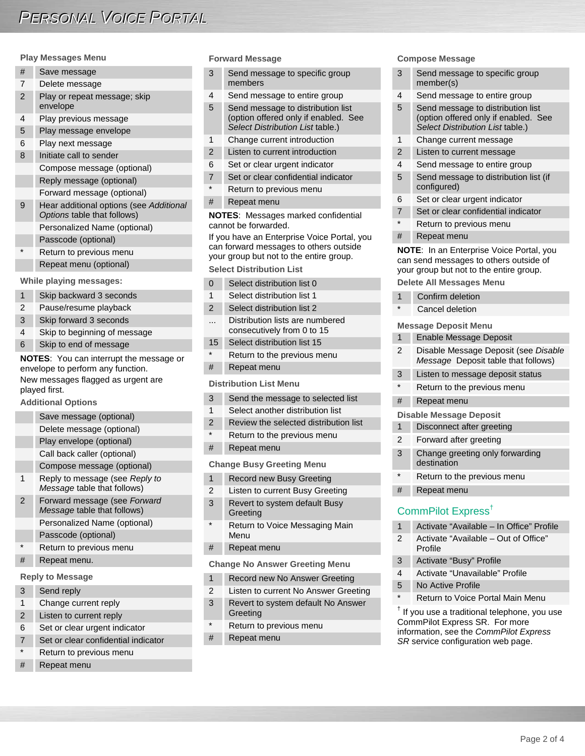#### **Play Messages Menu**

| #              | Save message                                                           |
|----------------|------------------------------------------------------------------------|
| 7              | Delete message                                                         |
| $\overline{2}$ | Play or repeat message; skip<br>envelope                               |
| 4              | Play previous message                                                  |
| 5              | Play message envelope                                                  |
| 6              | Play next message                                                      |
| 8              | Initiate call to sender                                                |
|                | Compose message (optional)                                             |
|                | Reply message (optional)                                               |
|                | Forward message (optional)                                             |
| 9              | Hear additional options (see Additional<br>Options table that follows) |
|                | Personalized Name (optional)                                           |
|                | Passcode (optional)                                                    |
| $\star$        | Return to previous menu                                                |
|                | Repeat menu (optional)                                                 |
|                |                                                                        |

**While playing messages:**

- 1 Skip backward 3 seconds 2 Pause/resume playback 3 Skip forward 3 seconds 4 Skip to beginning of message
- 6 Skip to end of message

**NOTES**: You can interrupt the message or envelope to perform any function. New messages flagged as urgent are played first.

**Additional Options**

Save message (optional) Delete message (optional) Play envelope (optional) Call back caller (optional) Compose message (optional) 1 Reply to message (see *Reply to Message* table that follows) 2 Forward message (see *Forward Message* table that follows) Personalized Name (optional) Passcode (optional) Return to previous menu Repeat menu.

#### **Reply to Message**

- 3 Send reply 1 Change current reply
- 2 Listen to current reply
- 6 Set or clear urgent indicator
- Set or clear confidential indicator
- Return to previous menu
- Repeat menu

#### **Forward Message**

- 3 Send message to specific group members
- 4 Send message to entire group
- 5 Send message to distribution list (option offered only if enabled. See *Select Distribution List* table.)
- 1 Change current introduction
- 2 Listen to current introduction
- 6 Set or clear urgent indicator
- 7 Set or clear confidential indicator
- Return to previous menu
- # Repeat menu

**NOTES**: Messages marked confidential cannot be forwarded.

If you have an Enterprise Voice Portal, you can forward messages to others outside your group but not to the entire group. **Select Distribution List**

| $\Omega$ | Select distribution list 0                                    |  |
|----------|---------------------------------------------------------------|--|
| 1        | Select distribution list 1                                    |  |
| 2        | Select distribution list 2                                    |  |
|          | Distribution lists are numbered<br>consecutively from 0 to 15 |  |
| 15       | Select distribution list 15                                   |  |
|          | Return to the previous menu                                   |  |
| #        | Repeat menu                                                   |  |
|          |                                                               |  |

#### **Distribution List Menu**

- 3 Send the message to selected list
- 1 Select another distribution list
- 2 Review the selected distribution list
- Return to the previous menu
- # Repeat menu

#### **Change Busy Greeting Menu**

- 1 Record new Busy Greeting
- 2 Listen to current Busy Greeting
- 3 Revert to system default Busy **Greeting**
- Return to Voice Messaging Main Menu
- # Repeat menu

**Change No Answer Greeting Menu**

- 1 Record new No Answer Greeting
- 2 Listen to current No Answer Greeting
- 3 Revert to system default No Answer **Greeting**
- \* Return to previous menu
- # Repeat menu

#### **Compose Message**

- 3 Send message to specific group member(s) 4 Send message to entire group 5 Send message to distribution list (option offered only if enabled. See *Select Distribution List* table.) 1 Change current message 2 Listen to current message 4 Send message to entire group 5 Send message to distribution list (if configured) 6 Set or clear urgent indicator 7 Set or clear confidential indicator Return to previous menu # Repeat menu **NOTE**: In an Enterprise Voice Portal, you can send messages to others outside of your group but not to the entire group. **Delete All Messages Menu** 1 Confirm deletion Cancel deletion
- **Message Deposit Menu**

|               | Enable Message Deposit                                                      |
|---------------|-----------------------------------------------------------------------------|
| $\mathcal{P}$ | Disable Message Deposit (see Disable<br>Message Deposit table that follows) |
| $\mathbf{B}$  | Listen to message deposit status                                            |

- Return to the previous menu
- # Repeat menu

#### **Disable Message Deposit**

- 1 Disconnect after greeting
- 2 Forward after greeting
- 3 Change greeting only forwarding destination
- \* Return to the previous menu
- # Repeat menu

# CommPilot Express†

| 1                                                                                                                                                                                                                            | Activate "Available – In Office" Profile        |  |
|------------------------------------------------------------------------------------------------------------------------------------------------------------------------------------------------------------------------------|-------------------------------------------------|--|
| 2                                                                                                                                                                                                                            | Activate "Available – Out of Office"<br>Profile |  |
| 3                                                                                                                                                                                                                            | Activate "Busy" Profile                         |  |
| $\overline{4}$                                                                                                                                                                                                               | Activate "Unavailable" Profile                  |  |
| 5                                                                                                                                                                                                                            | No Active Profile                               |  |
| $\star$                                                                                                                                                                                                                      | Return to Voice Portal Main Menu                |  |
| <sup>†</sup> If you use a traditional telephone, you use<br>CommPilot Express SR. For more<br>$\mathbf{r}$ , and $\mathbf{r}$ , and $\mathbf{r}$ , and $\mathbf{r}$ , and $\mathbf{r}$ , and $\mathbf{r}$ , and $\mathbf{r}$ |                                                 |  |

information, see the *CommPilot Express SR* service configuration web page.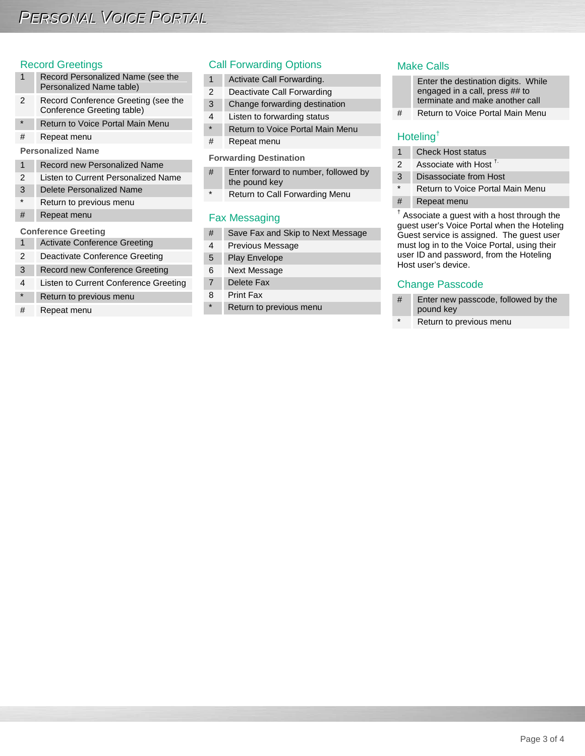#### Record Greetings

- 1 Record Personalized Name (see the Personalized Name table)
- 2 Record Conference Greeting (see the Conference Greeting table)
- \* Return to Voice Portal Main Menu
- # Repeat menu

**Personalized Name**

- 1 Record new Personalized Name
- 2 Listen to Current Personalized Name
- 3 Delete Personalized Name
- Return to previous menu
- # Repeat menu

#### **Conference Greeting**

- 1 Activate Conference Greeting
- 2 Deactivate Conference Greeting
- 3 Record new Conference Greeting
- 4 Listen to Current Conference Greeting
- Return to previous menu
- # Repeat menu

### Call Forwarding Options

- 1 Activate Call Forwarding.
- 2 Deactivate Call Forwarding
- 3 Change forwarding destination
- 4 Listen to forwarding status
- \* Return to Voice Portal Main Menu
- # Repeat menu

#### **Forwarding Destination**

- # Enter forward to number, followed by the pound key
- \* Return to Call Forwarding Menu

### Fax Messaging

- # Save Fax and Skip to Next Message
- 4 Previous Message
- 5 Play Envelope
- 6 Next Message
- 7 Delete Fax
- 8 Print Fax
- \* Return to previous menu

#### Make Calls

- Enter the destination digits. While engaged in a call, press ## to terminate and make another call
- # Return to Voice Portal Main Menu

# Hoteling†

- 1 Check Host status
- 2 Associate with Host  $<sup>T</sup>$ .</sup>
- 3 Disassociate from Host
- \* Return to Voice Portal Main Menu
- # Repeat menu

 $<sup>†</sup>$  Associate a guest with a host through the</sup> guest user's Voice Portal when the Hoteling Guest service is assigned. The guest user must log in to the Voice Portal, using their user ID and password, from the Hoteling Host user's device.

### Change Passcode

- # Enter new passcode, followed by the pound key
- Return to previous menu